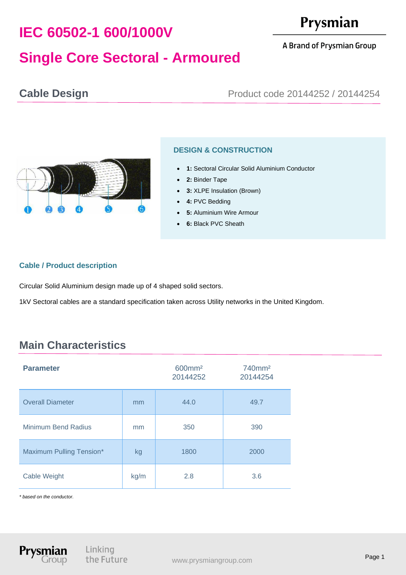# **IEC 60502-1 600/1000V**

# Prysmian

#### A Brand of Prysmian Group

## **Single Core Sectoral - Armoured**

### **Cable Design Cable Design Product code 20144252 / 20144254**



### **DESIGN & CONSTRUCTION**

- **1:** Sectoral Circular Solid Aluminium Conductor
- 2: Binder Tape
- **3:** XLPE Insulation (Brown)
- **4:** PVC Bedding
- **5: Aluminium Wire Armour**
- **6:** Black PVC Sheath

#### **Cable / Product description**

Circular Solid Aluminium design made up of 4 shaped solid sectors.

1kV Sectoral cables are a standard specification taken across Utility networks in the United Kingdom.

### **Main Characteristics**

| <b>Parameter</b>           |      | 600mm <sup>2</sup><br>20144252 | 740mm <sup>2</sup><br>20144254 |
|----------------------------|------|--------------------------------|--------------------------------|
| <b>Overall Diameter</b>    | mm   | 44.0                           | 49.7                           |
| <b>Minimum Bend Radius</b> | mm   | 350                            | 390                            |
| Maximum Pulling Tension*   | kg   | 1800                           | 2000                           |
| Cable Weight               | kg/m | 2.8                            | 3.6                            |

*\* based on the conductor.*